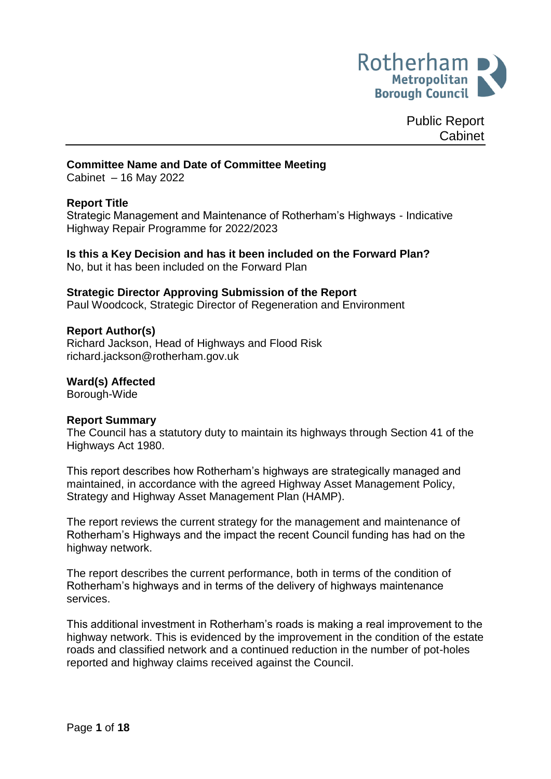

Public Report Cabinet

### **Committee Name and Date of Committee Meeting**

Cabinet – 16 May 2022

## **Report Title**

Strategic Management and Maintenance of Rotherham's Highways - Indicative Highway Repair Programme for 2022/2023

#### **Is this a Key Decision and has it been included on the Forward Plan?** No, but it has been included on the Forward Plan

### **Strategic Director Approving Submission of the Report**

Paul Woodcock, Strategic Director of Regeneration and Environment

### **Report Author(s)**

<span id="page-0-0"></span>Richard Jackson, Head of Highways and Flood Risk [richard.jackson@rotherham.gov.uk](mailto:richard.jackson@rotherham.gov.uk)

### **Ward(s) Affected**

Borough-Wide

### **Report Summary**

The Council has a statutory duty to maintain its highways through Section 41 of the Highways Act 1980.

This report describes how Rotherham's highways are strategically managed and maintained, in accordance with the agreed Highway Asset Management Policy, Strategy and Highway Asset Management Plan (HAMP).

The report reviews the current strategy for the management and maintenance of Rotherham's Highways and the impact the recent Council funding has had on the highway network.

The report describes the current performance, both in terms of the condition of Rotherham's highways and in terms of the delivery of highways maintenance services.

This additional investment in Rotherham's roads is making a real improvement to the highway network. This is evidenced by the improvement in the condition of the estate roads and classified network and a continued reduction in the number of pot-holes reported and highway claims received against the Council.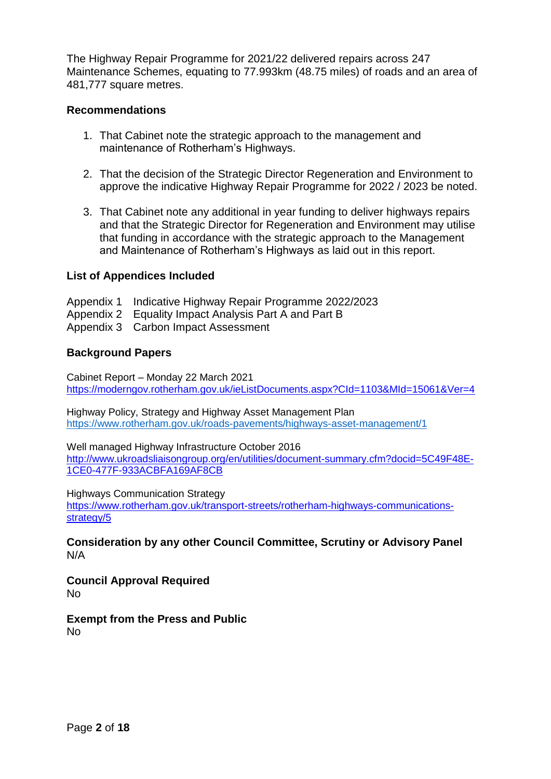The Highway Repair Programme for 2021/22 delivered repairs across 247 Maintenance Schemes, equating to 77.993km (48.75 miles) of roads and an area of 481,777 square metres.

### **Recommendations**

- 1. That Cabinet note the strategic approach to the management and maintenance of Rotherham's Highways.
- 2. That the decision of the Strategic Director Regeneration and Environment to approve the indicative Highway Repair Programme for 2022 / 2023 be noted.
- 3. That Cabinet note any additional in year funding to deliver highways repairs and that the Strategic Director for Regeneration and Environment may utilise that funding in accordance with the strategic approach to the Management and Maintenance of Rotherham's Highways as laid out in this report.

### **List of Appendices Included**

Appendix 1 Indicative Highway Repair Programme 2022/2023

- Appendix 2 Equality Impact Analysis Part A and Part B
- Appendix 3 Carbon Impact Assessment

### **Background Papers**

Cabinet Report – Monday 22 March 2021 <https://moderngov.rotherham.gov.uk/ieListDocuments.aspx?CId=1103&MId=15061&Ver=4>

Highway Policy, Strategy and Highway Asset Management Plan [https://www.rotherham.gov.uk/roads-pavements/highways-asset-management/1](https://eur02.safelinks.protection.outlook.com/?url=https%3A%2F%2Fwww.rotherham.gov.uk%2Froads-pavements%2Fhighways-asset-management%2F1&data=04%7C01%7CJacqueline.Heeley%40rotherham.gov.uk%7C23c1f007b8f741d92ee308da0cd8739a%7C46fbe6fd78ae47699c1dbcea97378af6%7C0%7C0%7C637836421036680738%7CUnknown%7CTWFpbGZsb3d8eyJWIjoiMC4wLjAwMDAiLCJQIjoiV2luMzIiLCJBTiI6Ik1haWwiLCJXVCI6Mn0%3D%7C3000&sdata=Ghd4Jcn62sn3%2FypiUNVrLtgiB6%2Frtgr9zW7h6dAh5qU%3D&reserved=0)

Well managed Highway Infrastructure October 2016 [http://www.ukroadsliaisongroup.org/en/utilities/document-summary.cfm?docid=5C49F48E-](http://www.ukroadsliaisongroup.org/en/utilities/document-summary.cfm?docid=5C49F48E-1CE0-477F-933ACBFA169AF8CB)[1CE0-477F-933ACBFA169AF8CB](http://www.ukroadsliaisongroup.org/en/utilities/document-summary.cfm?docid=5C49F48E-1CE0-477F-933ACBFA169AF8CB)

Highways Communication Strategy

[https://www.rotherham.gov.uk/transport-streets/rotherham-highways-communications](https://www.rotherham.gov.uk/transport-streets/rotherham-highways-communications-strategy/5)[strategy/5](https://www.rotherham.gov.uk/transport-streets/rotherham-highways-communications-strategy/5)

**Consideration by any other Council Committee, Scrutiny or Advisory Panel** N/A

**Council Approval Required** No

**Exempt from the Press and Public** No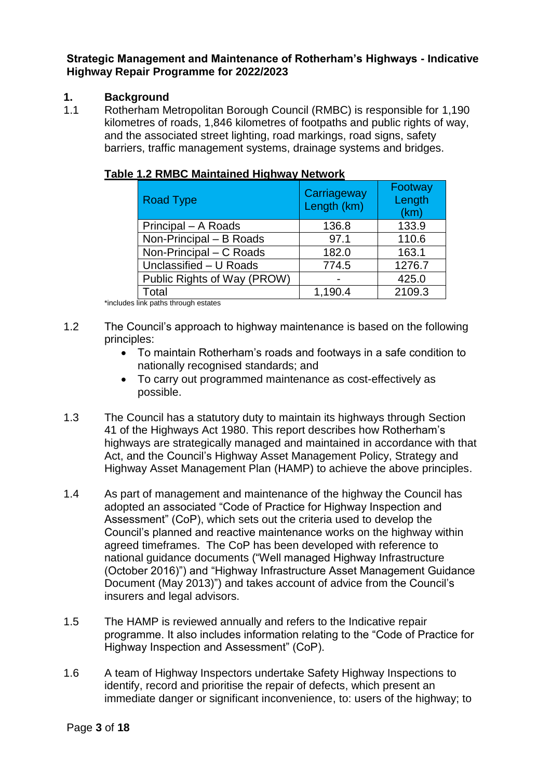**Strategic Management and Maintenance of Rotherham's Highways - Indicative Highway Repair Programme for 2022/2023** 

# **1. Background**

1.1 Rotherham Metropolitan Borough Council (RMBC) is responsible for 1,190 kilometres of roads, 1,846 kilometres of footpaths and public rights of way, and the associated street lighting, road markings, road signs, safety barriers, traffic management systems, drainage systems and bridges.

| <b>Road Type</b>            | Carriageway<br>Length (km) | Footway<br>Length<br>(km) |
|-----------------------------|----------------------------|---------------------------|
| Principal - A Roads         | 136.8                      | 133.9                     |
| Non-Principal - B Roads     | 97.1                       | 110.6                     |
| Non-Principal - C Roads     | 182.0                      | 163.1                     |
| Unclassified - U Roads      | 774.5                      | 1276.7                    |
| Public Rights of Way (PROW) |                            | 425.0                     |
| Total                       | 1,190.4                    | 2109.3                    |

| Table 1.2 RMBC Maintained Highway Network |
|-------------------------------------------|
|-------------------------------------------|

\*includes link paths through estates

- 1.2 The Council's approach to highway maintenance is based on the following principles:
	- To maintain Rotherham's roads and footways in a safe condition to nationally recognised standards; and
	- To carry out programmed maintenance as cost-effectively as possible.
- 1.3 The Council has a statutory duty to maintain its highways through Section 41 of the Highways Act 1980. This report describes how Rotherham's highways are strategically managed and maintained in accordance with that Act, and the Council's Highway Asset Management Policy, Strategy and Highway Asset Management Plan (HAMP) to achieve the above principles.
- 1.4 As part of management and maintenance of the highway the Council has adopted an associated "Code of Practice for Highway Inspection and Assessment" (CoP), which sets out the criteria used to develop the Council's planned and reactive maintenance works on the highway within agreed timeframes. The CoP has been developed with reference to national guidance documents ("Well managed Highway Infrastructure (October 2016)") and "Highway Infrastructure Asset Management Guidance Document (May 2013)") and takes account of advice from the Council's insurers and legal advisors.
- 1.5 The HAMP is reviewed annually and refers to the Indicative repair programme. It also includes information relating to the "Code of Practice for Highway Inspection and Assessment" (CoP).
- 1.6 A team of Highway Inspectors undertake Safety Highway Inspections to identify, record and prioritise the repair of defects, which present an immediate danger or significant inconvenience, to: users of the highway; to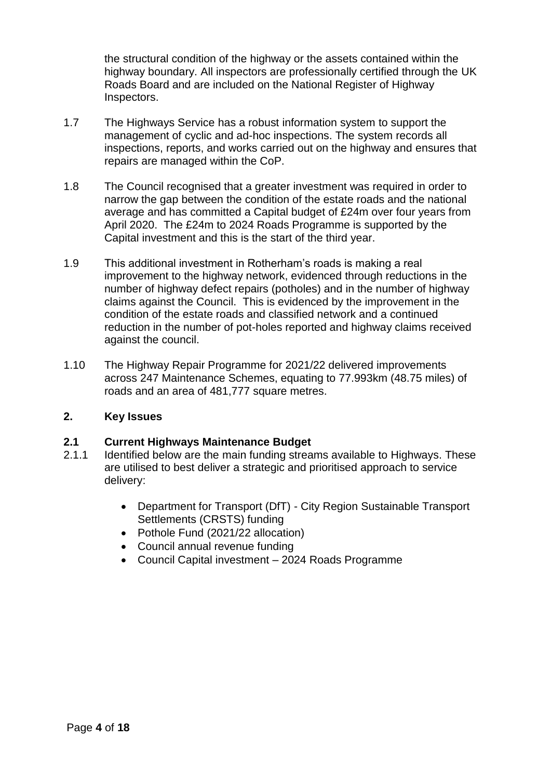the structural condition of the highway or the assets contained within the highway boundary. All inspectors are professionally certified through the UK Roads Board and are included on the National Register of Highway Inspectors.

- 1.7 The Highways Service has a robust information system to support the management of cyclic and ad-hoc inspections. The system records all inspections, reports, and works carried out on the highway and ensures that repairs are managed within the CoP.
- 1.8 The Council recognised that a greater investment was required in order to narrow the gap between the condition of the estate roads and the national average and has committed a Capital budget of £24m over four years from April 2020. The £24m to 2024 Roads Programme is supported by the Capital investment and this is the start of the third year.
- 1.9 This additional investment in Rotherham's roads is making a real improvement to the highway network, evidenced through reductions in the number of highway defect repairs (potholes) and in the number of highway claims against the Council. This is evidenced by the improvement in the condition of the estate roads and classified network and a continued reduction in the number of pot-holes reported and highway claims received against the council.
- 1.10 The Highway Repair Programme for 2021/22 delivered improvements across 247 Maintenance Schemes, equating to 77.993km (48.75 miles) of roads and an area of 481,777 square metres.

## **2. Key Issues**

## **2.1 Current Highways Maintenance Budget**

- 2.1.1 Identified below are the main funding streams available to Highways. These are utilised to best deliver a strategic and prioritised approach to service delivery:
	- Department for Transport (DfT) City Region Sustainable Transport Settlements (CRSTS) funding
	- Pothole Fund (2021/22 allocation)
	- Council annual revenue funding
	- Council Capital investment 2024 Roads Programme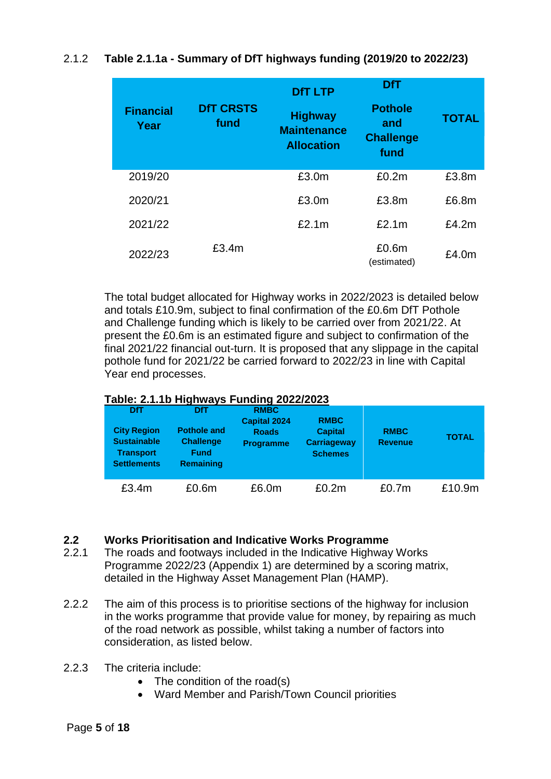# 2.1.2 **Table 2.1.1a - Summary of DfT highways funding (2019/20 to 2022/23)**

| <b>Financial</b><br>Year | <b>DfT CRSTS</b><br>fund | <b>DfT LTP</b><br><b>Highway</b><br><b>Maintenance</b><br><b>Allocation</b> | <b>DfT</b><br><b>Pothole</b><br>and<br><b>Challenge</b><br>fund | <b>TOTAL</b> |
|--------------------------|--------------------------|-----------------------------------------------------------------------------|-----------------------------------------------------------------|--------------|
| 2019/20                  |                          | £3.0m                                                                       | £0.2m                                                           | £3.8m        |
| 2020/21                  |                          | £3.0m                                                                       | £3.8m                                                           | £6.8m        |
| 2021/22                  |                          | £2.1m                                                                       | £2.1m                                                           | £4.2m        |
| 2022/23                  | £3.4m                    |                                                                             | £0.6m<br>(estimated)                                            | £4.0m        |

The total budget allocated for Highway works in 2022/2023 is detailed below and totals £10.9m, subject to final confirmation of the £0.6m DfT Pothole and Challenge funding which is likely to be carried over from 2021/22. At present the £0.6m is an estimated figure and subject to confirmation of the final 2021/22 financial out-turn. It is proposed that any slippage in the capital pothole fund for 2021/22 be carried forward to 2022/23 in line with Capital Year end processes.

## **Table: 2.1.1b Highways Funding 2022/2023**

| <b>DfT</b><br><b>City Region</b><br><b>Sustainable</b><br><b>Transport</b><br><b>Settlements</b> | <b>DfT</b><br><b>Pothole and</b><br><b>Challenge</b><br><b>Fund</b><br><b>Remaining</b> | <b>RMBC</b><br><b>Capital 2024</b><br><b>Roads</b><br><b>Programme</b> | <b>RMBC</b><br><b>Capital</b><br><b>Carriageway</b><br><b>Schemes</b> | <b>RMBC</b><br><b>Revenue</b> | <b>TOTAL</b> |
|--------------------------------------------------------------------------------------------------|-----------------------------------------------------------------------------------------|------------------------------------------------------------------------|-----------------------------------------------------------------------|-------------------------------|--------------|
| £3.4m                                                                                            | £0.6m                                                                                   | £6.0m                                                                  | £0.2m                                                                 | £0.7 <sub>m</sub>             | £10.9m       |

### **2.2 Works Prioritisation and Indicative Works Programme**

- 2.2.1 The roads and footways included in the Indicative Highway Works Programme 2022/23 (Appendix 1) are determined by a scoring matrix, detailed in the Highway Asset Management Plan (HAMP).
- 2.2.2 The aim of this process is to prioritise sections of the highway for inclusion in the works programme that provide value for money, by repairing as much of the road network as possible, whilst taking a number of factors into consideration, as listed below.
- 2.2.3 The criteria include:
	- The condition of the road(s)
	- Ward Member and Parish/Town Council priorities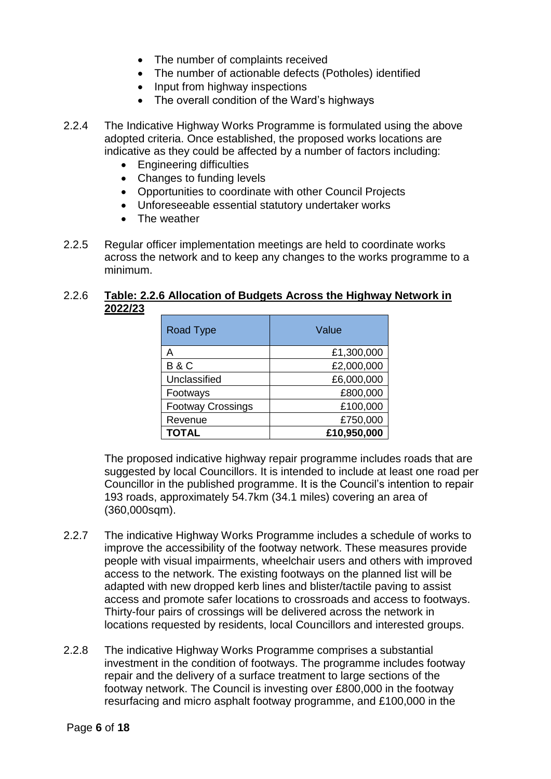- The number of complaints received
- The number of actionable defects (Potholes) identified
- Input from highway inspections
- The overall condition of the Ward's highways
- 2.2.4 The Indicative Highway Works Programme is formulated using the above adopted criteria. Once established, the proposed works locations are indicative as they could be affected by a number of factors including:
	- **Engineering difficulties**
	- Changes to funding levels
	- Opportunities to coordinate with other Council Projects
	- Unforeseeable essential statutory undertaker works
	- The weather
- 2.2.5 Regular officer implementation meetings are held to coordinate works across the network and to keep any changes to the works programme to a minimum.

### 2.2.6 **Table: 2.2.6 Allocation of Budgets Across the Highway Network in 2022/23**

| Road Type                | Value       |
|--------------------------|-------------|
| А                        | £1,300,000  |
| <b>B&amp;C</b>           | £2,000,000  |
| Unclassified             | £6,000,000  |
| Footways                 | £800,000    |
| <b>Footway Crossings</b> | £100,000    |
| Revenue                  | £750,000    |
| <b>TOTAL</b>             | £10,950,000 |

The proposed indicative highway repair programme includes roads that are suggested by local Councillors. It is intended to include at least one road per Councillor in the published programme. It is the Council's intention to repair 193 roads, approximately 54.7km (34.1 miles) covering an area of (360,000sqm).

- 2.2.7 The indicative Highway Works Programme includes a schedule of works to improve the accessibility of the footway network. These measures provide people with visual impairments, wheelchair users and others with improved access to the network. The existing footways on the planned list will be adapted with new dropped kerb lines and blister/tactile paving to assist access and promote safer locations to crossroads and access to footways. Thirty-four pairs of crossings will be delivered across the network in locations requested by residents, local Councillors and interested groups.
- 2.2.8 The indicative Highway Works Programme comprises a substantial investment in the condition of footways. The programme includes footway repair and the delivery of a surface treatment to large sections of the footway network. The Council is investing over £800,000 in the footway resurfacing and micro asphalt footway programme, and £100,000 in the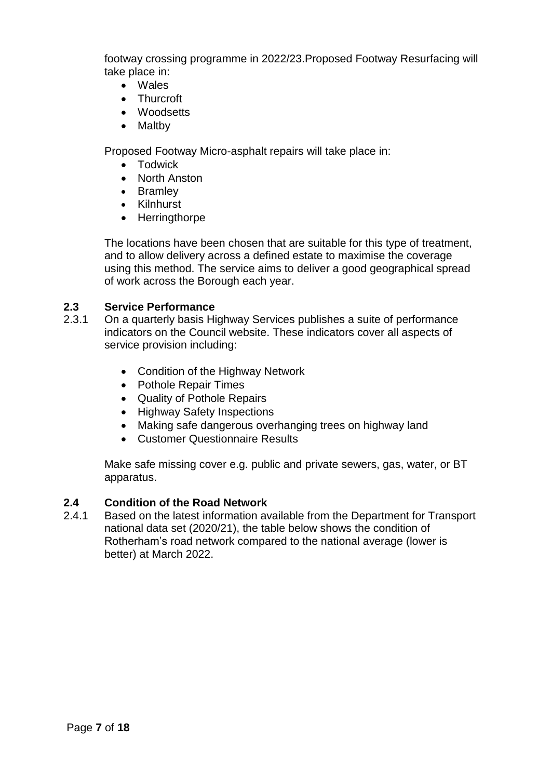footway crossing programme in 2022/23.Proposed Footway Resurfacing will take place in:

- Wales
- Thurcroft
- Woodsetts
- Maltby

Proposed Footway Micro-asphalt repairs will take place in:

- Todwick
- North Anston
- Bramley
- Kilnhurst
- Herringthorpe

The locations have been chosen that are suitable for this type of treatment, and to allow delivery across a defined estate to maximise the coverage using this method. The service aims to deliver a good geographical spread of work across the Borough each year.

# **2.3 Service Performance**

- 2.3.1 On a quarterly basis Highway Services publishes a suite of performance indicators on the Council website. These indicators cover all aspects of service provision including:
	- Condition of the Highway Network
	- Pothole Repair Times
	- Quality of Pothole Repairs
	- Highway Safety Inspections
	- Making safe dangerous overhanging trees on highway land
	- Customer Questionnaire Results

Make safe missing cover e.g. public and private sewers, gas, water, or BT apparatus.

# **2.4 Condition of the Road Network**

2.4.1 Based on the latest information available from the Department for Transport national data set (2020/21), the table below shows the condition of Rotherham's road network compared to the national average (lower is better) at March 2022.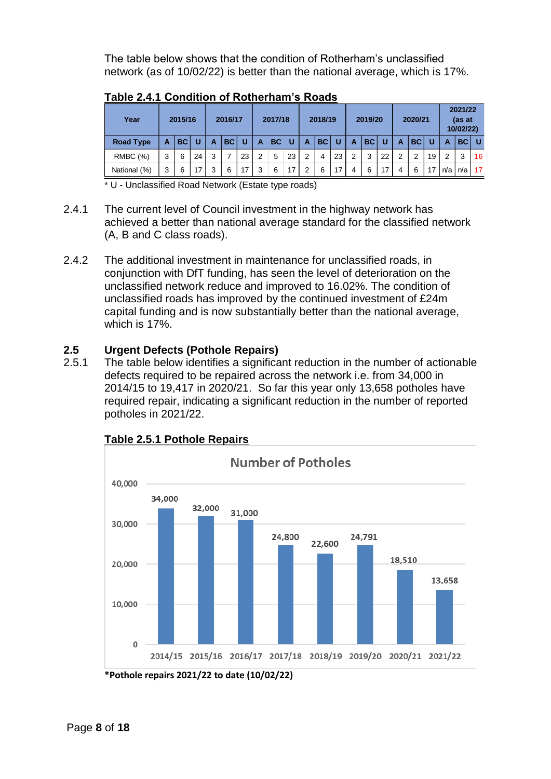The table below shows that the condition of Rotherham's unclassified network (as of 10/02/22) is better than the national average, which is 17%.

| Year             | 2015/16 |           |    | 2016/17 |           | 2017/18 |                | 2018/19   |                 |               | 2019/20 |                 |               | 2020/21     |    |   | 2021/22<br>(as at<br>10/02/22) |    |     |     |    |
|------------------|---------|-----------|----|---------|-----------|---------|----------------|-----------|-----------------|---------------|---------|-----------------|---------------|-------------|----|---|--------------------------------|----|-----|-----|----|
| <b>Road Type</b> | A       | <b>BC</b> | U  | A       | <b>BC</b> | U       | A              | <b>BC</b> | ាប              | A             | BC      | <b>U</b>        | A             | <b>BCIU</b> |    | А | <b>BC</b>                      |    | А   | BC. |    |
| <b>RMBC</b> (%)  | 3       | 6         | 24 | 3       | 7         | 23      | $\overline{2}$ | 5         | 23              | 2             | 4       | 23              | $\mathcal{P}$ | 3           | 22 | 2 | 2                              | 19 | 2   | 3   | 16 |
| National (%)     | 3       | 6         | 17 | 3       | 6         | 17      | 3              | 6         | 17 <sub>1</sub> | $\mathcal{P}$ | 6       | 17 <sub>1</sub> | 4             | 6           | 17 | 4 | 6                              | 17 | n/a | n/a | 17 |

**Table 2.4.1 Condition of Rotherham's Roads**

\* U - Unclassified Road Network (Estate type roads)

- 2.4.1 The current level of Council investment in the highway network has achieved a better than national average standard for the classified network (A, B and C class roads).
- 2.4.2 The additional investment in maintenance for unclassified roads, in conjunction with DfT funding, has seen the level of deterioration on the unclassified network reduce and improved to 16.02%. The condition of unclassified roads has improved by the continued investment of £24m capital funding and is now substantially better than the national average, which is 17%.

# **2.5 Urgent Defects (Pothole Repairs)**

2.5.1 The table below identifies a significant reduction in the number of actionable defects required to be repaired across the network i.e. from 34,000 in 2014/15 to 19,417 in 2020/21. So far this year only 13,658 potholes have required repair, indicating a significant reduction in the number of reported potholes in 2021/22.



# **Table 2.5.1 Pothole Repairs**

**<sup>\*</sup>Pothole repairs 2021/22 to date (10/02/22)**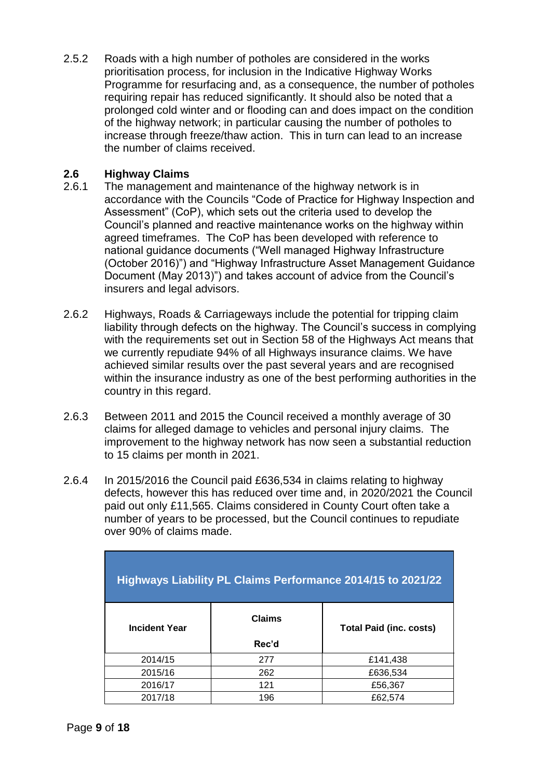2.5.2 Roads with a high number of potholes are considered in the works prioritisation process, for inclusion in the Indicative Highway Works Programme for resurfacing and, as a consequence, the number of potholes requiring repair has reduced significantly. It should also be noted that a prolonged cold winter and or flooding can and does impact on the condition of the highway network; in particular causing the number of potholes to increase through freeze/thaw action. This in turn can lead to an increase the number of claims received.

# **2.6 Highway Claims**

- 2.6.1 The management and maintenance of the highway network is in accordance with the Councils "Code of Practice for Highway Inspection and Assessment" (CoP), which sets out the criteria used to develop the Council's planned and reactive maintenance works on the highway within agreed timeframes. The CoP has been developed with reference to national guidance documents ("Well managed Highway Infrastructure (October 2016)") and "Highway Infrastructure Asset Management Guidance Document (May 2013)") and takes account of advice from the Council's insurers and legal advisors.
- 2.6.2 Highways, Roads & Carriageways include the potential for tripping claim liability through defects on the highway. The Council's success in complying with the requirements set out in Section 58 of the Highways Act means that we currently repudiate 94% of all Highways insurance claims. We have achieved similar results over the past several years and are recognised within the insurance industry as one of the best performing authorities in the country in this regard.
- 2.6.3 Between 2011 and 2015 the Council received a monthly average of 30 claims for alleged damage to vehicles and personal injury claims. The improvement to the highway network has now seen a substantial reduction to 15 claims per month in 2021.
- 2.6.4 In 2015/2016 the Council paid £636,534 in claims relating to highway defects, however this has reduced over time and, in 2020/2021 the Council paid out only £11,565. Claims considered in County Court often take a number of years to be processed, but the Council continues to repudiate over 90% of claims made.

| Highways Liability PL Claims Performance 2014/15 to 2021/22 |               |                                |  |  |  |  |  |  |  |
|-------------------------------------------------------------|---------------|--------------------------------|--|--|--|--|--|--|--|
| <b>Incident Year</b>                                        | <b>Claims</b> | <b>Total Paid (inc. costs)</b> |  |  |  |  |  |  |  |
|                                                             | Rec'd         |                                |  |  |  |  |  |  |  |
| 2014/15                                                     | 277           | £141,438                       |  |  |  |  |  |  |  |
| 2015/16                                                     | 262           | £636,534                       |  |  |  |  |  |  |  |
| 2016/17                                                     | 121           | £56,367                        |  |  |  |  |  |  |  |
| 2017/18                                                     | 196           | £62,574                        |  |  |  |  |  |  |  |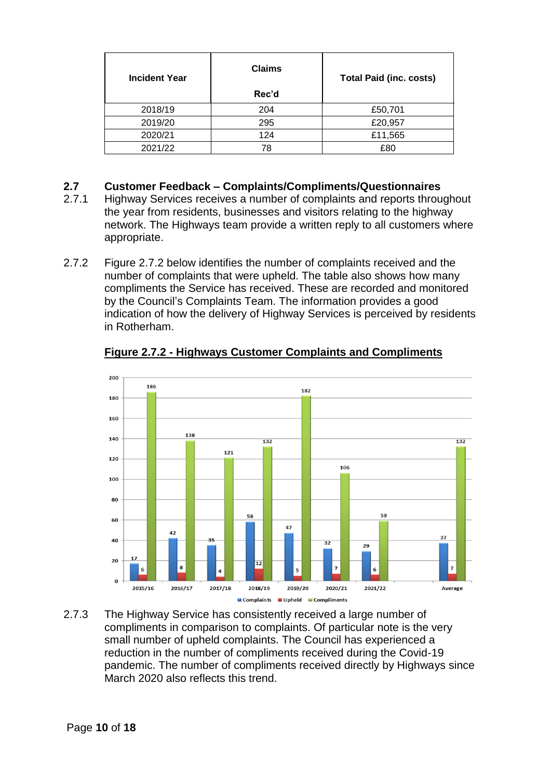| <b>Incident Year</b> | <b>Claims</b> | <b>Total Paid (inc. costs)</b> |
|----------------------|---------------|--------------------------------|
|                      | Rec'd         |                                |
| 2018/19              | 204           | £50,701                        |
| 2019/20              | 295           | £20,957                        |
| 2020/21              | 124           | £11,565                        |
| 2021/22              | 78            | £80                            |

# **2.7 Customer Feedback – Complaints/Compliments/Questionnaires**

- 2.7.1 Highway Services receives a number of complaints and reports throughout the year from residents, businesses and visitors relating to the highway network. The Highways team provide a written reply to all customers where appropriate.
- 2.7.2 Figure 2.7.2 below identifies the number of complaints received and the number of complaints that were upheld. The table also shows how many compliments the Service has received. These are recorded and monitored by the Council's Complaints Team. The information provides a good indication of how the delivery of Highway Services is perceived by residents in Rotherham.



**Figure 2.7.2 - Highways Customer Complaints and Compliments**

2.7.3 The Highway Service has consistently received a large number of compliments in comparison to complaints. Of particular note is the very small number of upheld complaints. The Council has experienced a reduction in the number of compliments received during the Covid-19 pandemic. The number of compliments received directly by Highways since March 2020 also reflects this trend.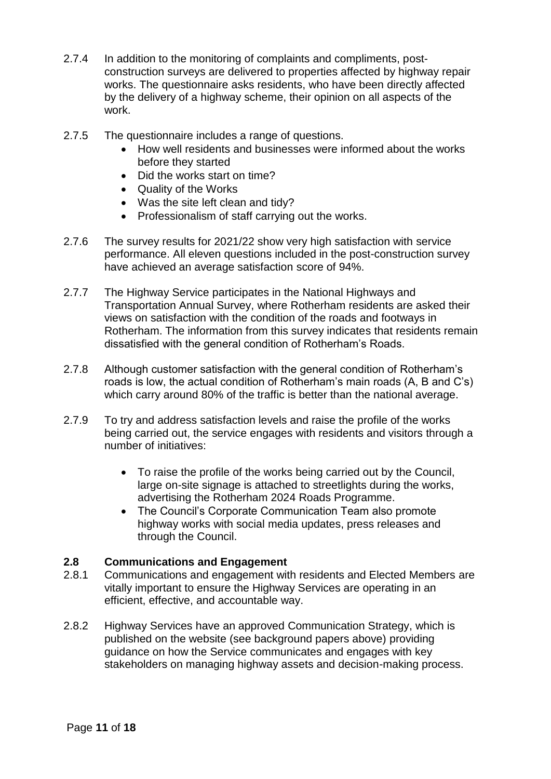- 2.7.4 In addition to the monitoring of complaints and compliments, postconstruction surveys are delivered to properties affected by highway repair works. The questionnaire asks residents, who have been directly affected by the delivery of a highway scheme, their opinion on all aspects of the work.
- 2.7.5 The questionnaire includes a range of questions.
	- How well residents and businesses were informed about the works before they started
	- Did the works start on time?
	- Quality of the Works
	- Was the site left clean and tidy?
	- Professionalism of staff carrying out the works.
- 2.7.6 The survey results for 2021/22 show very high satisfaction with service performance. All eleven questions included in the post-construction survey have achieved an average satisfaction score of 94%.
- 2.7.7 The Highway Service participates in the National Highways and Transportation Annual Survey, where Rotherham residents are asked their views on satisfaction with the condition of the roads and footways in Rotherham. The information from this survey indicates that residents remain dissatisfied with the general condition of Rotherham's Roads.
- 2.7.8 Although customer satisfaction with the general condition of Rotherham's roads is low, the actual condition of Rotherham's main roads (A, B and C's) which carry around 80% of the traffic is better than the national average.
- 2.7.9 To try and address satisfaction levels and raise the profile of the works being carried out, the service engages with residents and visitors through a number of initiatives:
	- To raise the profile of the works being carried out by the Council, large on-site signage is attached to streetlights during the works, advertising the Rotherham 2024 Roads Programme.
	- The Council's Corporate Communication Team also promote highway works with social media updates, press releases and through the Council.

## **2.8 Communications and Engagement**

- 2.8.1 Communications and engagement with residents and Elected Members are vitally important to ensure the Highway Services are operating in an efficient, effective, and accountable way.
- 2.8.2 Highway Services have an approved Communication Strategy, which is published on the website (see background papers above) providing guidance on how the Service communicates and engages with key stakeholders on managing highway assets and decision-making process.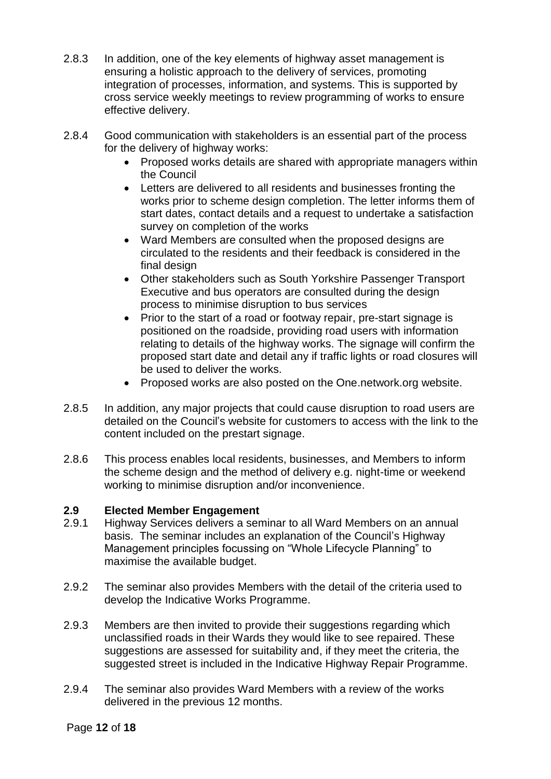- 2.8.3 In addition, one of the key elements of highway asset management is ensuring a holistic approach to the delivery of services, promoting integration of processes, information, and systems. This is supported by cross service weekly meetings to review programming of works to ensure effective delivery.
- 2.8.4 Good communication with stakeholders is an essential part of the process for the delivery of highway works:
	- Proposed works details are shared with appropriate managers within the Council
	- Letters are delivered to all residents and businesses fronting the works prior to scheme design completion. The letter informs them of start dates, contact details and a request to undertake a satisfaction survey on completion of the works
	- Ward Members are consulted when the proposed designs are circulated to the residents and their feedback is considered in the final design
	- Other stakeholders such as South Yorkshire Passenger Transport Executive and bus operators are consulted during the design process to minimise disruption to bus services
	- Prior to the start of a road or footway repair, pre-start signage is positioned on the roadside, providing road users with information relating to details of the highway works. The signage will confirm the proposed start date and detail any if traffic lights or road closures will be used to deliver the works.
	- Proposed works are also posted on the One.network.org website.
- 2.8.5 In addition, any major projects that could cause disruption to road users are detailed on the Council's website for customers to access with the link to the content included on the prestart signage.
- 2.8.6 This process enables local residents, businesses, and Members to inform the scheme design and the method of delivery e.g. night-time or weekend working to minimise disruption and/or inconvenience.

# **2.9 Elected Member Engagement**

- 2.9.1 Highway Services delivers a seminar to all Ward Members on an annual basis. The seminar includes an explanation of the Council's Highway Management principles focussing on "Whole Lifecycle Planning" to maximise the available budget.
- 2.9.2 The seminar also provides Members with the detail of the criteria used to develop the Indicative Works Programme.
- 2.9.3 Members are then invited to provide their suggestions regarding which unclassified roads in their Wards they would like to see repaired. These suggestions are assessed for suitability and, if they meet the criteria, the suggested street is included in the Indicative Highway Repair Programme.
- 2.9.4 The seminar also provides Ward Members with a review of the works delivered in the previous 12 months.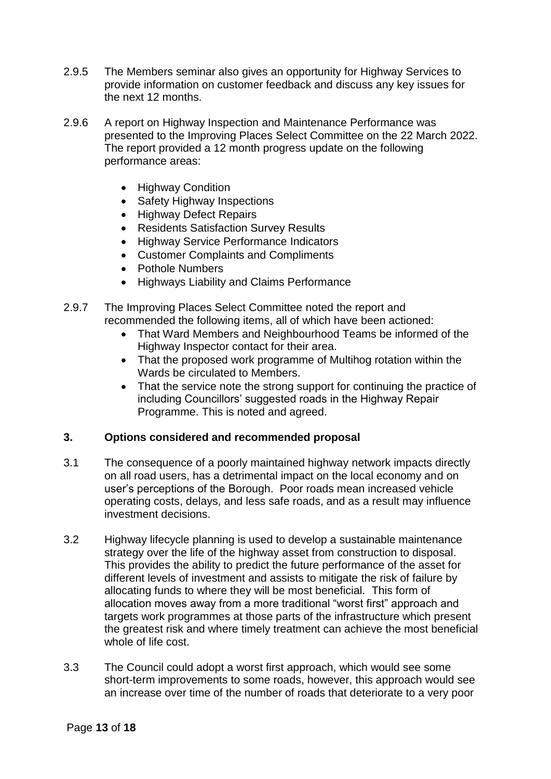- 2.9.5 The Members seminar also gives an opportunity for Highway Services to provide information on customer feedback and discuss any key issues for the next 12 months.
- 2.9.6 A report on Highway Inspection and Maintenance Performance was presented to the Improving Places Select Committee on the 22 March 2022. The report provided a 12 month progress update on the following performance areas:
	- Highway Condition
	- Safety Highway Inspections
	- Highway Defect Repairs
	- Residents Satisfaction Survey Results
	- Highway Service Performance Indicators
	- Customer Complaints and Compliments
	- Pothole Numbers
	- Highways Liability and Claims Performance
- 2.9.7 The Improving Places Select Committee noted the report and recommended the following items, all of which have been actioned:
	- That Ward Members and Neighbourhood Teams be informed of the Highway Inspector contact for their area.
	- That the proposed work programme of Multihog rotation within the Wards be circulated to Members.
	- That the service note the strong support for continuing the practice of including Councillors' suggested roads in the Highway Repair Programme. This is noted and agreed.

## **3. Options considered and recommended proposal**

- 3.1 The consequence of a poorly maintained highway network impacts directly on all road users, has a detrimental impact on the local economy and on user's perceptions of the Borough. Poor roads mean increased vehicle operating costs, delays, and less safe roads, and as a result may influence investment decisions.
- 3.2 Highway lifecycle planning is used to develop a sustainable maintenance strategy over the life of the highway asset from construction to disposal. This provides the ability to predict the future performance of the asset for different levels of investment and assists to mitigate the risk of failure by allocating funds to where they will be most beneficial. This form of allocation moves away from a more traditional "worst first" approach and targets work programmes at those parts of the infrastructure which present the greatest risk and where timely treatment can achieve the most beneficial whole of life cost.
- 3.3 The Council could adopt a worst first approach, which would see some short-term improvements to some roads, however, this approach would see an increase over time of the number of roads that deteriorate to a very poor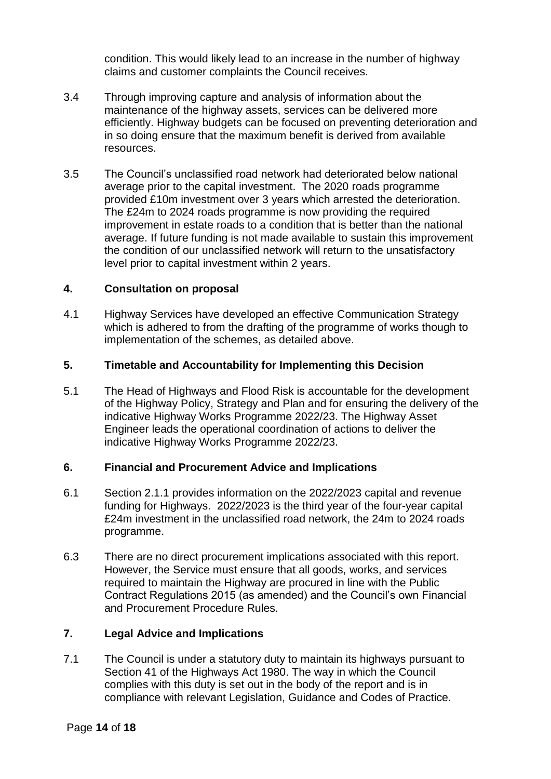condition. This would likely lead to an increase in the number of highway claims and customer complaints the Council receives.

- 3.4 Through improving capture and analysis of information about the maintenance of the highway assets, services can be delivered more efficiently. Highway budgets can be focused on preventing deterioration and in so doing ensure that the maximum benefit is derived from available resources.
- 3.5 The Council's unclassified road network had deteriorated below national average prior to the capital investment. The 2020 roads programme provided £10m investment over 3 years which arrested the deterioration. The £24m to 2024 roads programme is now providing the required improvement in estate roads to a condition that is better than the national average. If future funding is not made available to sustain this improvement the condition of our unclassified network will return to the unsatisfactory level prior to capital investment within 2 years.

## **4. Consultation on proposal**

4.1 Highway Services have developed an effective Communication Strategy which is adhered to from the drafting of the programme of works though to implementation of the schemes, as detailed above.

### **5. Timetable and Accountability for Implementing this Decision**

5.1 The Head of Highways and Flood Risk is accountable for the development of the Highway Policy, Strategy and Plan and for ensuring the delivery of the indicative Highway Works Programme 2022/23. The Highway Asset Engineer leads the operational coordination of actions to deliver the indicative Highway Works Programme 2022/23.

### **6. Financial and Procurement Advice and Implications**

- 6.1 Section 2.1.1 provides information on the 2022/2023 capital and revenue funding for Highways. 2022/2023 is the third year of the four-year capital £24m investment in the unclassified road network, the 24m to 2024 roads programme.
- 6.3 There are no direct procurement implications associated with this report. However, the Service must ensure that all goods, works, and services required to maintain the Highway are procured in line with the Public Contract Regulations 2015 (as amended) and the Council's own Financial and Procurement Procedure Rules.

## **7. Legal Advice and Implications**

7.1 The Council is under a statutory duty to maintain its highways pursuant to Section 41 of the Highways Act 1980. The way in which the Council complies with this duty is set out in the body of the report and is in compliance with relevant Legislation, Guidance and Codes of Practice.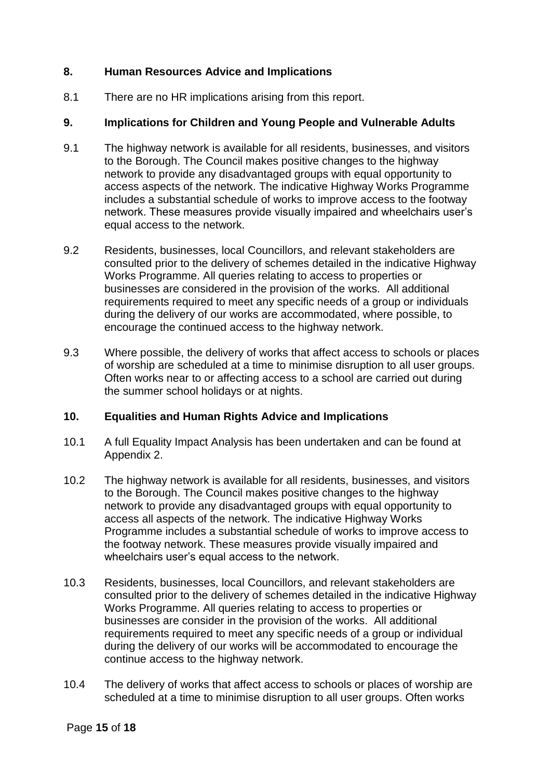## **8. Human Resources Advice and Implications**

8.1 There are no HR implications arising from this report.

# **9. Implications for Children and Young People and Vulnerable Adults**

- 9.1 The highway network is available for all residents, businesses, and visitors to the Borough. The Council makes positive changes to the highway network to provide any disadvantaged groups with equal opportunity to access aspects of the network. The indicative Highway Works Programme includes a substantial schedule of works to improve access to the footway network. These measures provide visually impaired and wheelchairs user's equal access to the network.
- 9.2 Residents, businesses, local Councillors, and relevant stakeholders are consulted prior to the delivery of schemes detailed in the indicative Highway Works Programme. All queries relating to access to properties or businesses are considered in the provision of the works. All additional requirements required to meet any specific needs of a group or individuals during the delivery of our works are accommodated, where possible, to encourage the continued access to the highway network.
- 9.3 Where possible, the delivery of works that affect access to schools or places of worship are scheduled at a time to minimise disruption to all user groups. Often works near to or affecting access to a school are carried out during the summer school holidays or at nights.

## **10. Equalities and Human Rights Advice and Implications**

- 10.1 A full Equality Impact Analysis has been undertaken and can be found at Appendix 2.
- 10.2 The highway network is available for all residents, businesses, and visitors to the Borough. The Council makes positive changes to the highway network to provide any disadvantaged groups with equal opportunity to access all aspects of the network. The indicative Highway Works Programme includes a substantial schedule of works to improve access to the footway network. These measures provide visually impaired and wheelchairs user's equal access to the network.
- 10.3 Residents, businesses, local Councillors, and relevant stakeholders are consulted prior to the delivery of schemes detailed in the indicative Highway Works Programme. All queries relating to access to properties or businesses are consider in the provision of the works. All additional requirements required to meet any specific needs of a group or individual during the delivery of our works will be accommodated to encourage the continue access to the highway network.
- 10.4 The delivery of works that affect access to schools or places of worship are scheduled at a time to minimise disruption to all user groups. Often works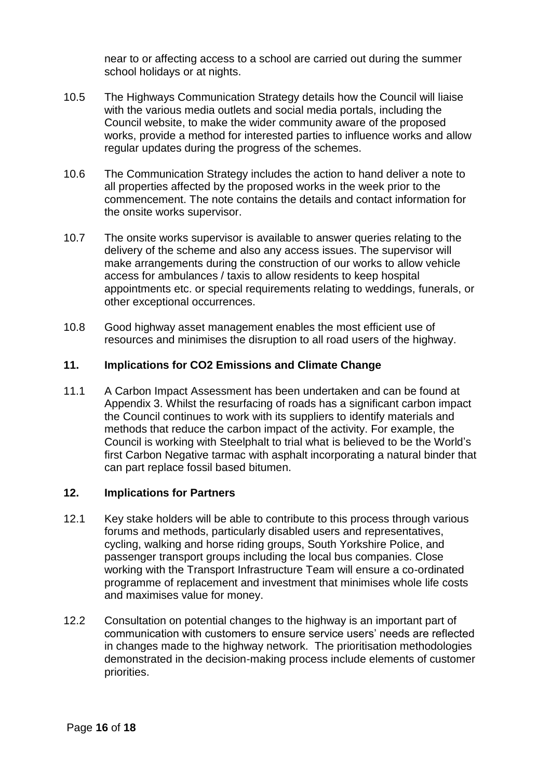near to or affecting access to a school are carried out during the summer school holidays or at nights.

- 10.5 The Highways Communication Strategy details how the Council will liaise with the various media outlets and social media portals, including the Council website, to make the wider community aware of the proposed works, provide a method for interested parties to influence works and allow regular updates during the progress of the schemes.
- 10.6 The Communication Strategy includes the action to hand deliver a note to all properties affected by the proposed works in the week prior to the commencement. The note contains the details and contact information for the onsite works supervisor.
- 10.7 The onsite works supervisor is available to answer queries relating to the delivery of the scheme and also any access issues. The supervisor will make arrangements during the construction of our works to allow vehicle access for ambulances / taxis to allow residents to keep hospital appointments etc. or special requirements relating to weddings, funerals, or other exceptional occurrences.
- 10.8 Good highway asset management enables the most efficient use of resources and minimises the disruption to all road users of the highway.

## **11. Implications for CO2 Emissions and Climate Change**

11.1 A Carbon Impact Assessment has been undertaken and can be found at Appendix 3. Whilst the resurfacing of roads has a significant carbon impact the Council continues to work with its suppliers to identify materials and methods that reduce the carbon impact of the activity. For example, the Council is working with Steelphalt to trial what is believed to be the World's first Carbon Negative tarmac with asphalt incorporating a natural binder that can part replace fossil based bitumen.

## **12. Implications for Partners**

- 12.1 Key stake holders will be able to contribute to this process through various forums and methods, particularly disabled users and representatives, cycling, walking and horse riding groups, South Yorkshire Police, and passenger transport groups including the local bus companies. Close working with the Transport Infrastructure Team will ensure a co-ordinated programme of replacement and investment that minimises whole life costs and maximises value for money.
- 12.2 Consultation on potential changes to the highway is an important part of communication with customers to ensure service users' needs are reflected in changes made to the highway network. The prioritisation methodologies demonstrated in the decision-making process include elements of customer priorities.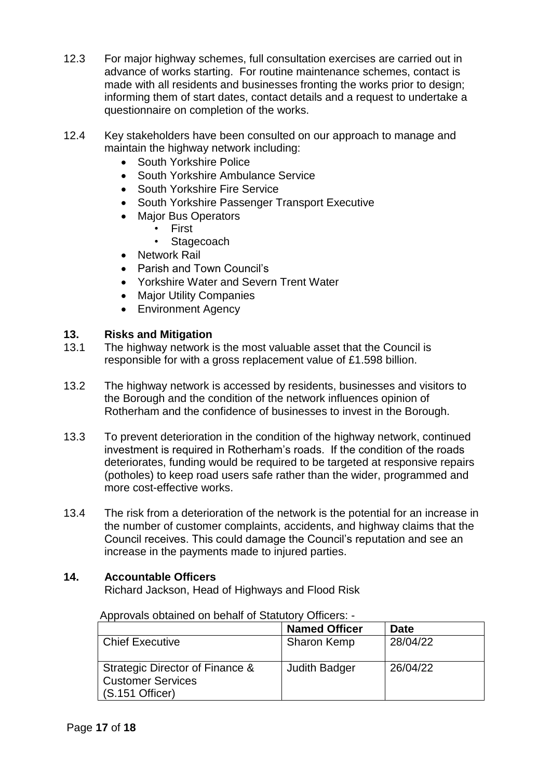- 12.3 For major highway schemes, full consultation exercises are carried out in advance of works starting. For routine maintenance schemes, contact is made with all residents and businesses fronting the works prior to design; informing them of start dates, contact details and a request to undertake a questionnaire on completion of the works.
- 12.4 Key stakeholders have been consulted on our approach to manage and maintain the highway network including:
	- South Yorkshire Police
	- South Yorkshire Ambulance Service
	- South Yorkshire Fire Service
	- South Yorkshire Passenger Transport Executive
	- Major Bus Operators
		- First
		- Stagecoach
	- Network Rail
	- Parish and Town Council's
	- Yorkshire Water and Severn Trent Water
	- Major Utility Companies
	- **Environment Agency**

## **13. Risks and Mitigation**

- 13.1 The highway network is the most valuable asset that the Council is responsible for with a gross replacement value of £1.598 billion.
- 13.2 The highway network is accessed by residents, businesses and visitors to the Borough and the condition of the network influences opinion of Rotherham and the confidence of businesses to invest in the Borough.
- 13.3 To prevent deterioration in the condition of the highway network, continued investment is required in Rotherham's roads. If the condition of the roads deteriorates, funding would be required to be targeted at responsive repairs (potholes) to keep road users safe rather than the wider, programmed and more cost-effective works.
- 13.4 The risk from a deterioration of the network is the potential for an increase in the number of customer complaints, accidents, and highway claims that the Council receives. This could damage the Council's reputation and see an increase in the payments made to injured parties.

## **14. Accountable Officers**

Richard Jackson, Head of Highways and Flood Risk

|                                                                                  | <b>Named Officer</b> | <b>Date</b> |
|----------------------------------------------------------------------------------|----------------------|-------------|
| <b>Chief Executive</b>                                                           | <b>Sharon Kemp</b>   | 28/04/22    |
| Strategic Director of Finance &<br><b>Customer Services</b><br>$(S.151$ Officer) | <b>Judith Badger</b> | 26/04/22    |

Approvals obtained on behalf of Statutory Officers: -